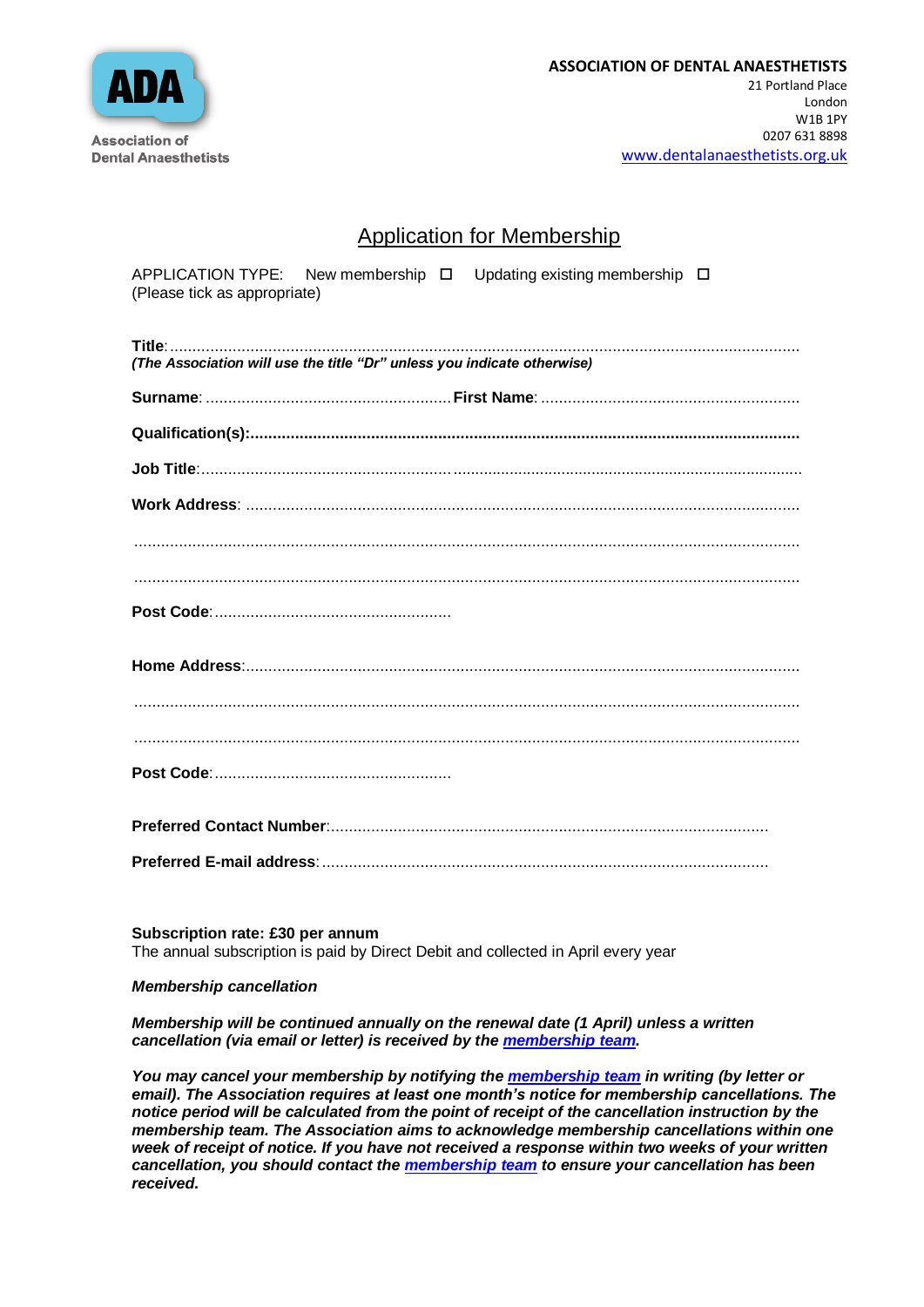

## Application for Membership

| (Please tick as appropriate)                                            |  | APPLICATION TYPE: New membership $\Box$ Updating existing membership $\Box$ |  |
|-------------------------------------------------------------------------|--|-----------------------------------------------------------------------------|--|
| (The Association will use the title "Dr" unless you indicate otherwise) |  |                                                                             |  |
|                                                                         |  |                                                                             |  |
|                                                                         |  |                                                                             |  |
|                                                                         |  |                                                                             |  |
|                                                                         |  |                                                                             |  |
|                                                                         |  |                                                                             |  |
|                                                                         |  |                                                                             |  |
|                                                                         |  |                                                                             |  |
|                                                                         |  |                                                                             |  |
|                                                                         |  |                                                                             |  |
|                                                                         |  |                                                                             |  |
|                                                                         |  |                                                                             |  |
|                                                                         |  |                                                                             |  |
|                                                                         |  |                                                                             |  |

**Subscription rate: £30 per annum**  The annual subscription is paid by Direct Debit and collected in April every year

## *Membership cancellation*

## *Membership will be continued annually on the renewal date (1 April) unless a written cancellation (via email or letter) is received by the [membership team.](mailto:ada@anaesthetists.org)*

*You may cancel your membership by notifying the [membership team](mailto:ada@anaesthetists.org) in writing (by letter or email). The Association requires at least one month's notice for membership cancellations. The notice period will be calculated from the point of receipt of the cancellation instruction by the membership team. The Association aims to acknowledge membership cancellations within one week of receipt of notice. If you have not received a response within two weeks of your written cancellation, you should contact the [membership team](mailto:ada@anaesthetists.org?subject=I%20am%20yet%20to%20receive%20confirmation%20of%20my%20cancellation%20) to ensure your cancellation has been received.*